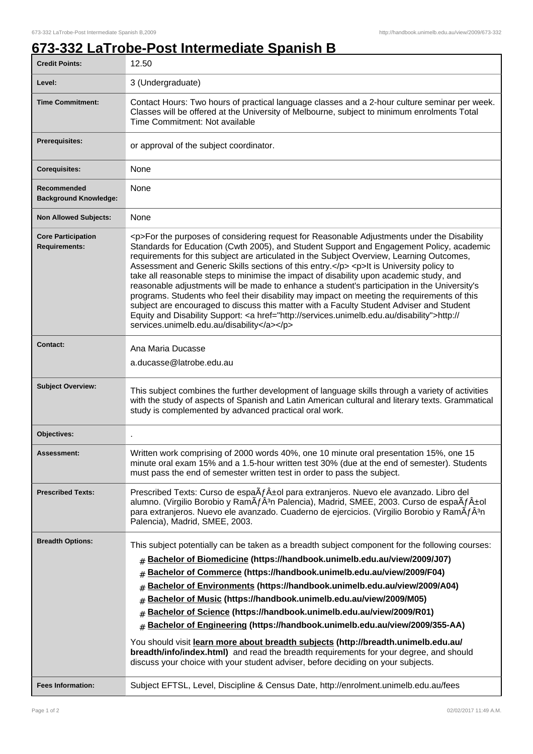## **673-332 LaTrobe-Post Intermediate Spanish B**

| <b>Credit Points:</b>                             | 12.50                                                                                                                                                                                                                                                                                                                                                                                                                                                                                                                                                                                                                                                                                                                                                                                                                                                                                                                        |
|---------------------------------------------------|------------------------------------------------------------------------------------------------------------------------------------------------------------------------------------------------------------------------------------------------------------------------------------------------------------------------------------------------------------------------------------------------------------------------------------------------------------------------------------------------------------------------------------------------------------------------------------------------------------------------------------------------------------------------------------------------------------------------------------------------------------------------------------------------------------------------------------------------------------------------------------------------------------------------------|
| Level:                                            | 3 (Undergraduate)                                                                                                                                                                                                                                                                                                                                                                                                                                                                                                                                                                                                                                                                                                                                                                                                                                                                                                            |
| <b>Time Commitment:</b>                           | Contact Hours: Two hours of practical language classes and a 2-hour culture seminar per week.<br>Classes will be offered at the University of Melbourne, subject to minimum enrolments Total<br>Time Commitment: Not available                                                                                                                                                                                                                                                                                                                                                                                                                                                                                                                                                                                                                                                                                               |
| Prerequisites:                                    | or approval of the subject coordinator.                                                                                                                                                                                                                                                                                                                                                                                                                                                                                                                                                                                                                                                                                                                                                                                                                                                                                      |
| <b>Corequisites:</b>                              | None                                                                                                                                                                                                                                                                                                                                                                                                                                                                                                                                                                                                                                                                                                                                                                                                                                                                                                                         |
| Recommended<br><b>Background Knowledge:</b>       | None                                                                                                                                                                                                                                                                                                                                                                                                                                                                                                                                                                                                                                                                                                                                                                                                                                                                                                                         |
| <b>Non Allowed Subjects:</b>                      | None                                                                                                                                                                                                                                                                                                                                                                                                                                                                                                                                                                                                                                                                                                                                                                                                                                                                                                                         |
| <b>Core Participation</b><br><b>Requirements:</b> | <p>For the purposes of considering request for Reasonable Adjustments under the Disability<br/>Standards for Education (Cwth 2005), and Student Support and Engagement Policy, academic<br/>requirements for this subject are articulated in the Subject Overview, Learning Outcomes,<br/>Assessment and Generic Skills sections of this entry.</p> <p>lt is University policy to<br/>take all reasonable steps to minimise the impact of disability upon academic study, and<br/>reasonable adjustments will be made to enhance a student's participation in the University's<br/>programs. Students who feel their disability may impact on meeting the requirements of this<br/>subject are encouraged to discuss this matter with a Faculty Student Adviser and Student<br/>Equity and Disability Support: &lt; a href="http://services.unimelb.edu.au/disability"&gt;http://<br/>services.unimelb.edu.au/disability</p> |
| <b>Contact:</b>                                   | Ana Maria Ducasse                                                                                                                                                                                                                                                                                                                                                                                                                                                                                                                                                                                                                                                                                                                                                                                                                                                                                                            |
|                                                   | a.ducasse@latrobe.edu.au                                                                                                                                                                                                                                                                                                                                                                                                                                                                                                                                                                                                                                                                                                                                                                                                                                                                                                     |
| <b>Subject Overview:</b>                          | This subject combines the further development of language skills through a variety of activities<br>with the study of aspects of Spanish and Latin American cultural and literary texts. Grammatical<br>study is complemented by advanced practical oral work.                                                                                                                                                                                                                                                                                                                                                                                                                                                                                                                                                                                                                                                               |
| Objectives:                                       |                                                                                                                                                                                                                                                                                                                                                                                                                                                                                                                                                                                                                                                                                                                                                                                                                                                                                                                              |
| Assessment:                                       | Written work comprising of 2000 words 40%, one 10 minute oral presentation 15%, one 15<br>minute oral exam 15% and a 1.5-hour written test 30% (due at the end of semester). Students<br>must pass the end of semester written test in order to pass the subject.                                                                                                                                                                                                                                                                                                                                                                                                                                                                                                                                                                                                                                                            |
| <b>Prescribed Texts:</b>                          | Prescribed Texts: Curso de espa $\tilde{A}f\hat{A}$ ±ol para extranjeros. Nuevo ele avanzado. Libro del<br>alumno. (Virgilio Borobio y RamÃfÂ <sup>3</sup> n Palencia), Madrid, SMEE, 2003. Curso de espaÃf±ol<br>para extranjeros. Nuevo ele avanzado. Cuaderno de ejercicios. (Virgilio Borobio y RamÂfÂ <sup>3</sup> n<br>Palencia), Madrid, SMEE, 2003.                                                                                                                                                                                                                                                                                                                                                                                                                                                                                                                                                                  |
| <b>Breadth Options:</b>                           | This subject potentially can be taken as a breadth subject component for the following courses:<br>Bachelor of Biomedicine (https://handbook.unimelb.edu.au/view/2009/J07)<br>#<br>Bachelor of Commerce (https://handbook.unimelb.edu.au/view/2009/F04)<br>#<br>Bachelor of Environments (https://handbook.unimelb.edu.au/view/2009/A04)<br>#<br>Bachelor of Music (https://handbook.unimelb.edu.au/view/2009/M05)<br>#<br>Bachelor of Science (https://handbook.unimelb.edu.au/view/2009/R01)<br>#<br>Bachelor of Engineering (https://handbook.unimelb.edu.au/view/2009/355-AA)<br>#<br>You should visit learn more about breadth subjects (http://breadth.unimelb.edu.au/<br>breadth/info/index.html) and read the breadth requirements for your degree, and should<br>discuss your choice with your student adviser, before deciding on your subjects.                                                                   |
| <b>Fees Information:</b>                          | Subject EFTSL, Level, Discipline & Census Date, http://enrolment.unimelb.edu.au/fees                                                                                                                                                                                                                                                                                                                                                                                                                                                                                                                                                                                                                                                                                                                                                                                                                                         |